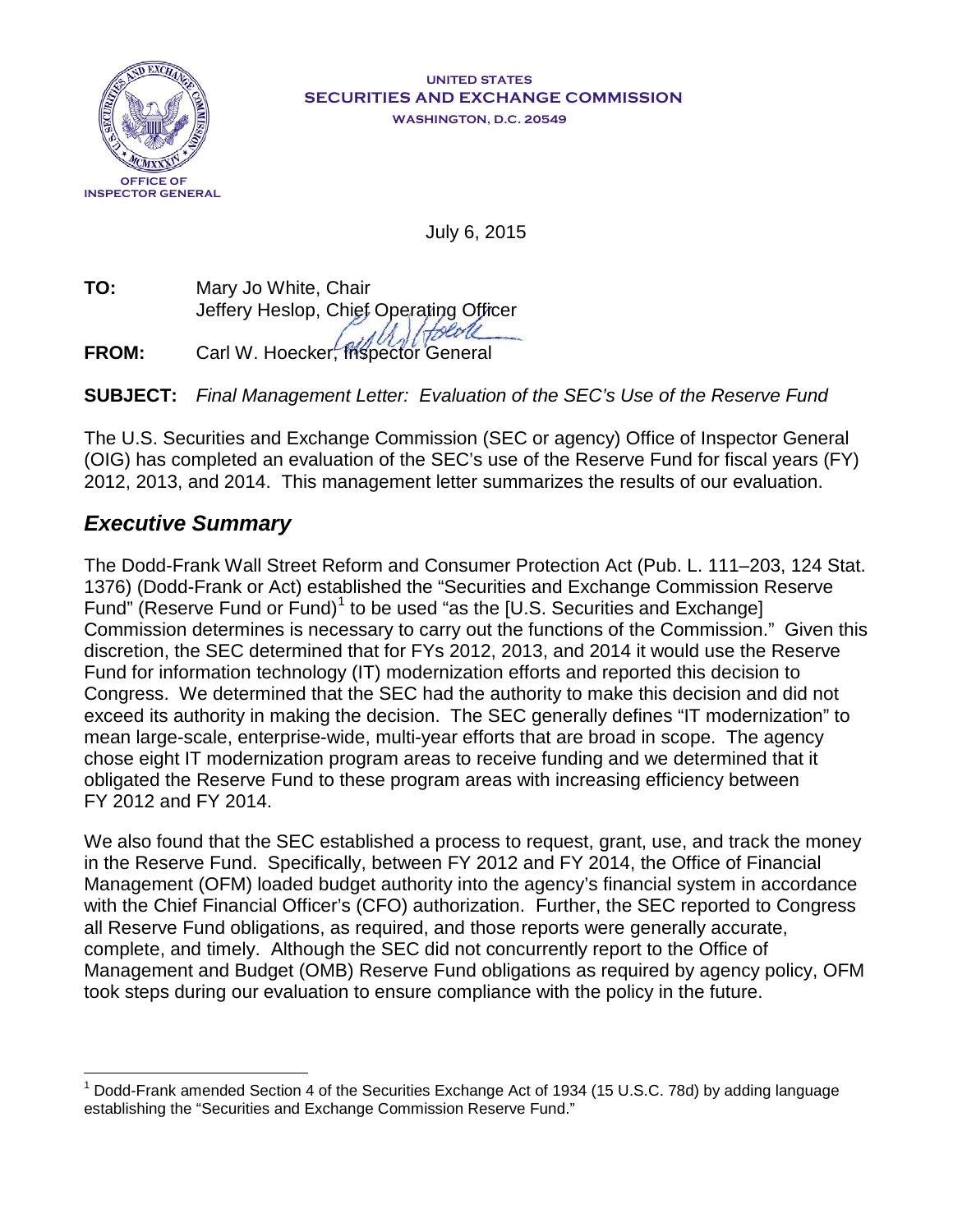

#### **UNITED STATES SECURITIES AND EXCHANGE COMMISSION WASHINGTON, D.C. 20549**

July 6, 2015

**TO:** Mary Jo White, Chair Jeffery Heslop, Chief Operating Officer

**FROM:** Carl W. Hoecker, Inspector General

**SUBJECT:** *Final Management Letter: Evaluation of the SEC's Use of the Reserve Fund*

The U.S. Securities and Exchange Commission (SEC or agency) Office of Inspector General (OIG) has completed an evaluation of the SEC's use of the Reserve Fund for fiscal years (FY) 2012, 2013, and 2014. This management letter summarizes the results of our evaluation.

## *Executive Summary*

The Dodd-Frank Wall Street Reform and Consumer Protection Act (Pub. L. 111–203, 124 Stat. 1376) (Dodd-Frank or Act) established the "Securities and Exchange Commission Reserve Fund" (Reserve Fund or Fund)<sup>[1](#page-0-0)</sup> to be used "as the [U.S. Securities and Exchange] Commission determines is necessary to carry out the functions of the Commission." Given this discretion, the SEC determined that for FYs 2012, 2013, and 2014 it would use the Reserve Fund for information technology (IT) modernization efforts and reported this decision to Congress. We determined that the SEC had the authority to make this decision and did not exceed its authority in making the decision. The SEC generally defines "IT modernization" to mean large-scale, enterprise-wide, multi-year efforts that are broad in scope. The agency chose eight IT modernization program areas to receive funding and we determined that it obligated the Reserve Fund to these program areas with increasing efficiency between FY 2012 and FY 2014.

We also found that the SEC established a process to request, grant, use, and track the money in the Reserve Fund. Specifically, between FY 2012 and FY 2014, the Office of Financial Management (OFM) loaded budget authority into the agency's financial system in accordance with the Chief Financial Officer's (CFO) authorization. Further, the SEC reported to Congress all Reserve Fund obligations, as required, and those reports were generally accurate, complete, and timely. Although the SEC did not concurrently report to the Office of Management and Budget (OMB) Reserve Fund obligations as required by agency policy, OFM took steps during our evaluation to ensure compliance with the policy in the future.

<span id="page-0-0"></span> $\overline{\phantom{a}}$ <sup>1</sup> Dodd-Frank amended Section 4 of the Securities Exchange Act of 1934 (15 U.S.C. 78d) by adding language establishing the "Securities and Exchange Commission Reserve Fund."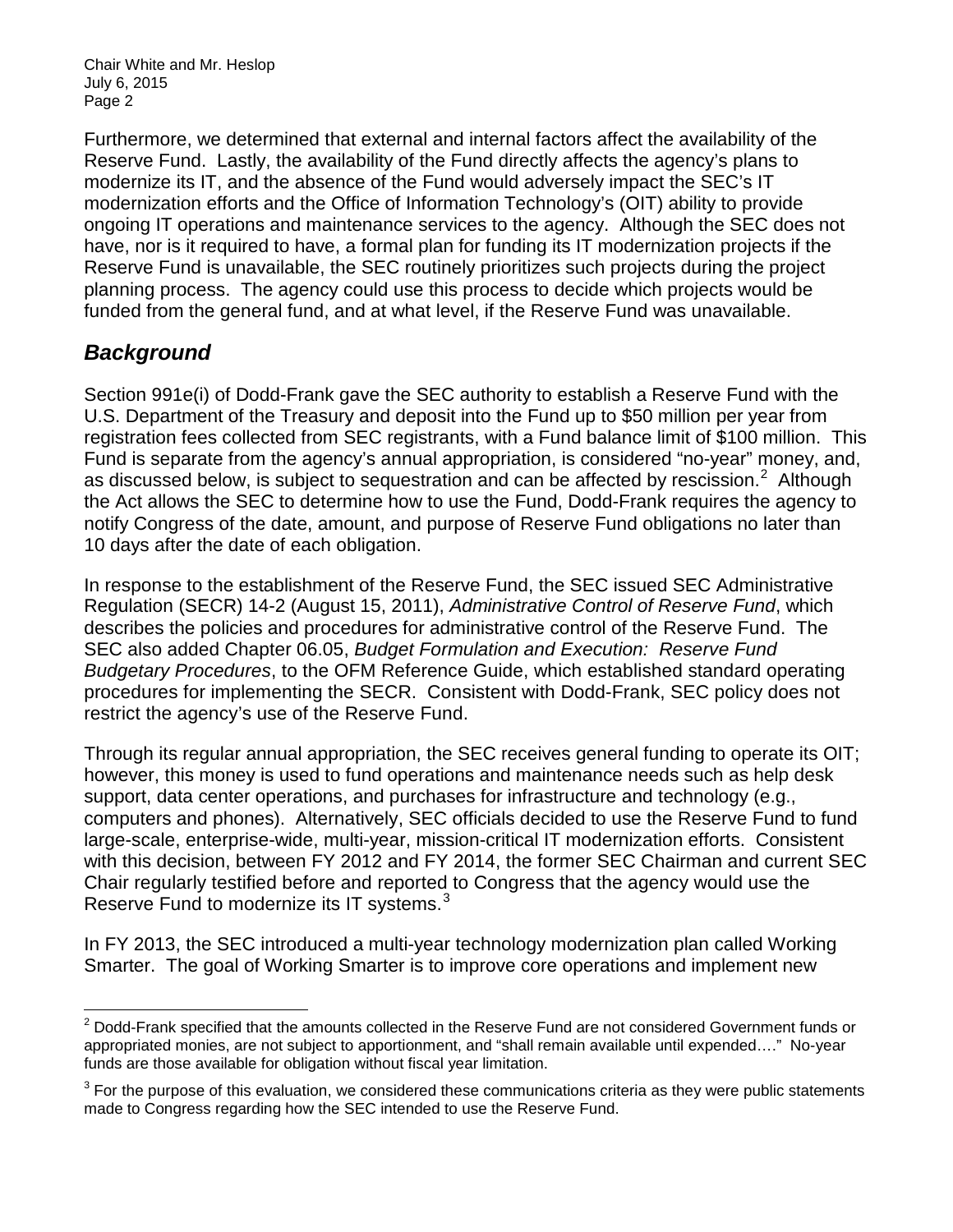Furthermore, we determined that external and internal factors affect the availability of the Reserve Fund. Lastly, the availability of the Fund directly affects the agency's plans to modernize its IT, and the absence of the Fund would adversely impact the SEC's IT modernization efforts and the Office of Information Technology's (OIT) ability to provide ongoing IT operations and maintenance services to the agency. Although the SEC does not have, nor is it required to have, a formal plan for funding its IT modernization projects if the Reserve Fund is unavailable, the SEC routinely prioritizes such projects during the project planning process. The agency could use this process to decide which projects would be funded from the general fund, and at what level, if the Reserve Fund was unavailable.

# *Background*

Section 991e(i) of Dodd-Frank gave the SEC authority to establish a Reserve Fund with the U.S. Department of the Treasury and deposit into the Fund up to \$50 million per year from registration fees collected from SEC registrants, with a Fund balance limit of \$100 million. This Fund is separate from the agency's annual appropriation, is considered "no-year" money, and, as discussed below, is subject to sequestration and can be affected by rescission.<sup>[2](#page-1-0)</sup> Although the Act allows the SEC to determine how to use the Fund, Dodd-Frank requires the agency to notify Congress of the date, amount, and purpose of Reserve Fund obligations no later than 10 days after the date of each obligation.

In response to the establishment of the Reserve Fund, the SEC issued SEC Administrative Regulation (SECR) 14-2 (August 15, 2011), *Administrative Control of Reserve Fund*, which describes the policies and procedures for administrative control of the Reserve Fund. The SEC also added Chapter 06.05, *Budget Formulation and Execution: Reserve Fund Budgetary Procedures*, to the OFM Reference Guide, which established standard operating procedures for implementing the SECR. Consistent with Dodd-Frank, SEC policy does not restrict the agency's use of the Reserve Fund.

Through its regular annual appropriation, the SEC receives general funding to operate its OIT; however, this money is used to fund operations and maintenance needs such as help desk support, data center operations, and purchases for infrastructure and technology (e.g., computers and phones). Alternatively, SEC officials decided to use the Reserve Fund to fund large-scale, enterprise-wide, multi-year, mission-critical IT modernization efforts. Consistent with this decision, between FY 2012 and FY 2014, the former SEC Chairman and current SEC Chair regularly testified before and reported to Congress that the agency would use the Reserve Fund to modernize its IT systems.<sup>[3](#page-1-1)</sup>

In FY 2013, the SEC introduced a multi-year technology modernization plan called Working Smarter. The goal of Working Smarter is to improve core operations and implement new

<span id="page-1-0"></span> $\overline{\phantom{a}}$  $2$  Dodd-Frank specified that the amounts collected in the Reserve Fund are not considered Government funds or appropriated monies, are not subject to apportionment, and "shall remain available until expended…." No-year funds are those available for obligation without fiscal year limitation.

<span id="page-1-1"></span> $3$  For the purpose of this evaluation, we considered these communications criteria as they were public statements made to Congress regarding how the SEC intended to use the Reserve Fund.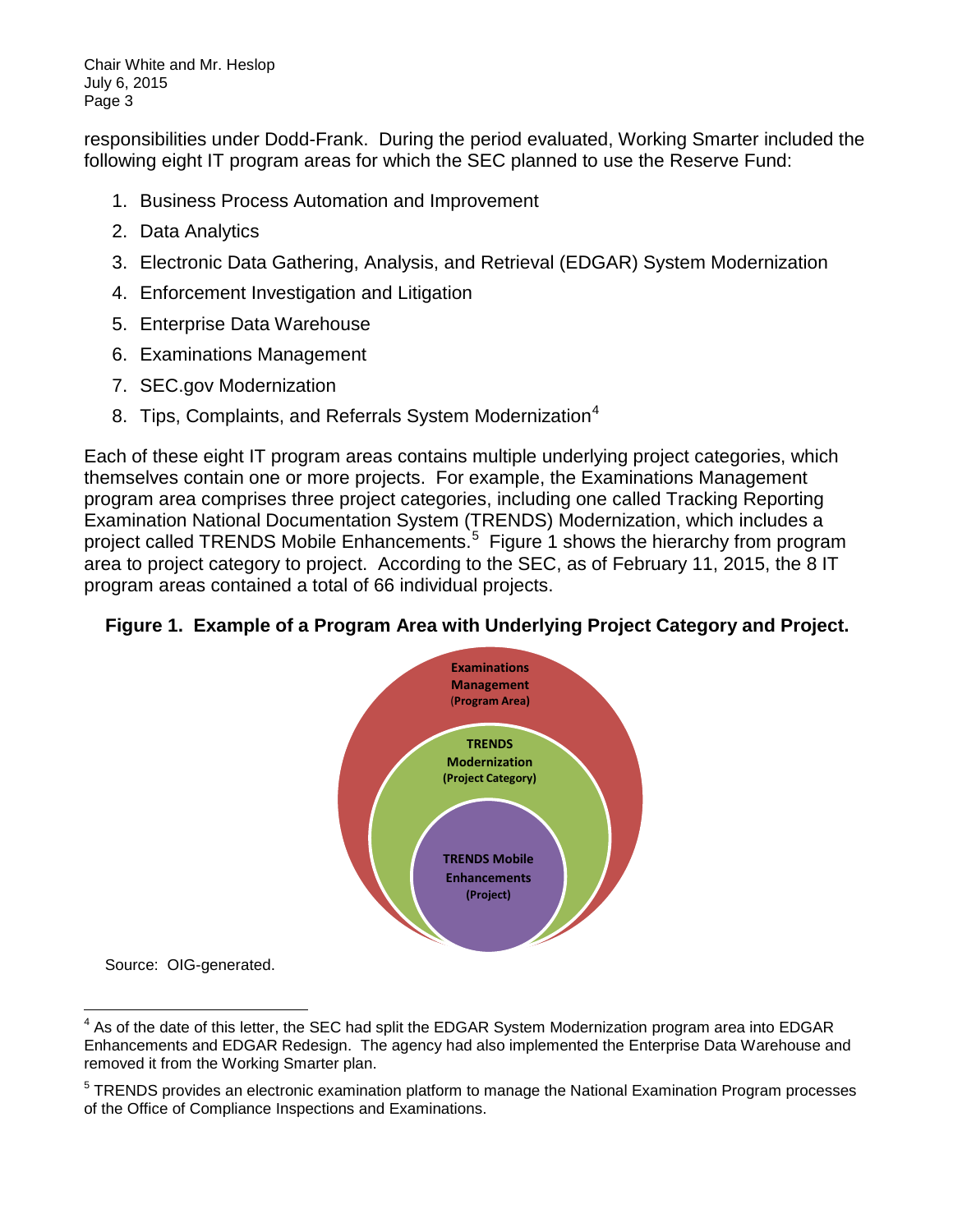responsibilities under Dodd-Frank. During the period evaluated, Working Smarter included the following eight IT program areas for which the SEC planned to use the Reserve Fund:

- 1. Business Process Automation and Improvement
- 2. Data Analytics
- 3. Electronic Data Gathering, Analysis, and Retrieval (EDGAR) System Modernization
- 4. Enforcement Investigation and Litigation
- 5. Enterprise Data Warehouse
- 6. Examinations Management
- 7. SEC.gov Modernization
- 8. Tips, Complaints, and Referrals System Modernization<sup>[4](#page-2-0)</sup>

Each of these eight IT program areas contains multiple underlying project categories, which themselves contain one or more projects. For example, the Examinations Management program area comprises three project categories, including one called Tracking Reporting Examination National Documentation System (TRENDS) Modernization, which includes a project called TRENDS Mobile Enhancements.<sup>[5](#page-2-1)</sup> Figure 1 shows the hierarchy from program area to project category to project. According to the SEC, as of February 11, 2015, the 8 IT program areas contained a total of 66 individual projects.

### **Figure 1. Example of a Program Area with Underlying Project Category and Project.**



Source: OIG-generated.

<span id="page-2-0"></span> $\overline{\phantom{a}}$  $4$  As of the date of this letter, the SEC had split the EDGAR System Modernization program area into EDGAR Enhancements and EDGAR Redesign. The agency had also implemented the Enterprise Data Warehouse and removed it from the Working Smarter plan.

<span id="page-2-1"></span><sup>&</sup>lt;sup>5</sup> TRENDS provides an electronic examination platform to manage the National Examination Program processes of the Office of Compliance Inspections and Examinations.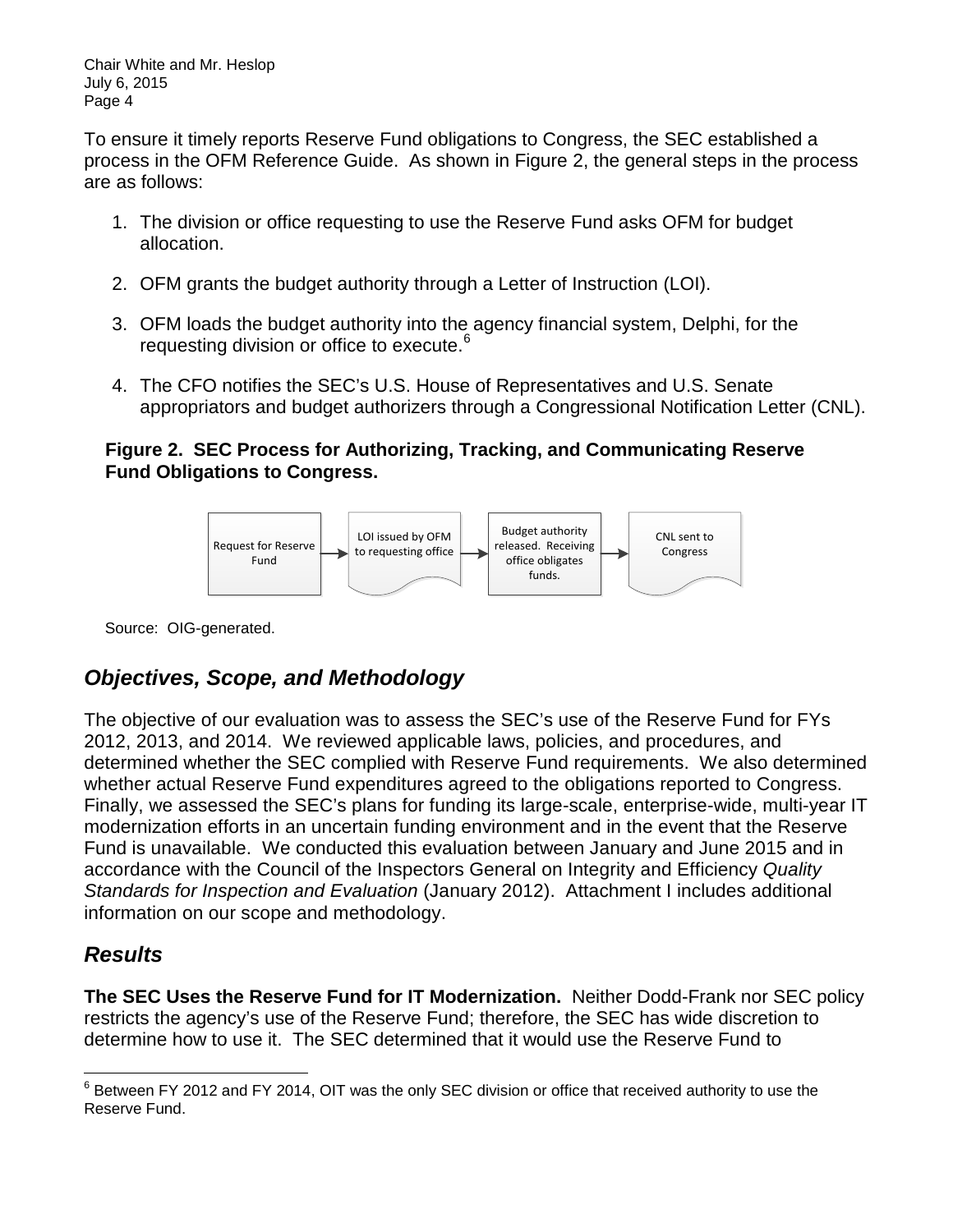To ensure it timely reports Reserve Fund obligations to Congress, the SEC established a process in the OFM Reference Guide. As shown in Figure 2, the general steps in the process are as follows:

- 1. The division or office requesting to use the Reserve Fund asks OFM for budget allocation.
- 2. OFM grants the budget authority through a Letter of Instruction (LOI).
- 3. OFM loads the budget authority into the agency financial system, Delphi, for the requesting division or office to execute.<sup>[6](#page-3-0)</sup>
- 4. The CFO notifies the SEC's U.S. House of Representatives and U.S. Senate appropriators and budget authorizers through a Congressional Notification Letter (CNL).

### **Figure 2. SEC Process for Authorizing, Tracking, and Communicating Reserve Fund Obligations to Congress.**



Source: OIG-generated.

# *Objectives, Scope, and Methodology*

The objective of our evaluation was to assess the SEC's use of the Reserve Fund for FYs 2012, 2013, and 2014. We reviewed applicable laws, policies, and procedures, and determined whether the SEC complied with Reserve Fund requirements. We also determined whether actual Reserve Fund expenditures agreed to the obligations reported to Congress. Finally, we assessed the SEC's plans for funding its large-scale, enterprise-wide, multi-year IT modernization efforts in an uncertain funding environment and in the event that the Reserve Fund is unavailable. We conducted this evaluation between January and June 2015 and in accordance with the Council of the Inspectors General on Integrity and Efficiency *Quality Standards for Inspection and Evaluation* (January 2012). Attachment I includes additional information on our scope and methodology.

### *Results*

**The SEC Uses the Reserve Fund for IT Modernization.** Neither Dodd-Frank nor SEC policy restricts the agency's use of the Reserve Fund; therefore, the SEC has wide discretion to determine how to use it. The SEC determined that it would use the Reserve Fund to

<span id="page-3-0"></span> $\overline{\phantom{a}}$  $^6$  Between FY 2012 and FY 2014, OIT was the only SEC division or office that received authority to use the Reserve Fund.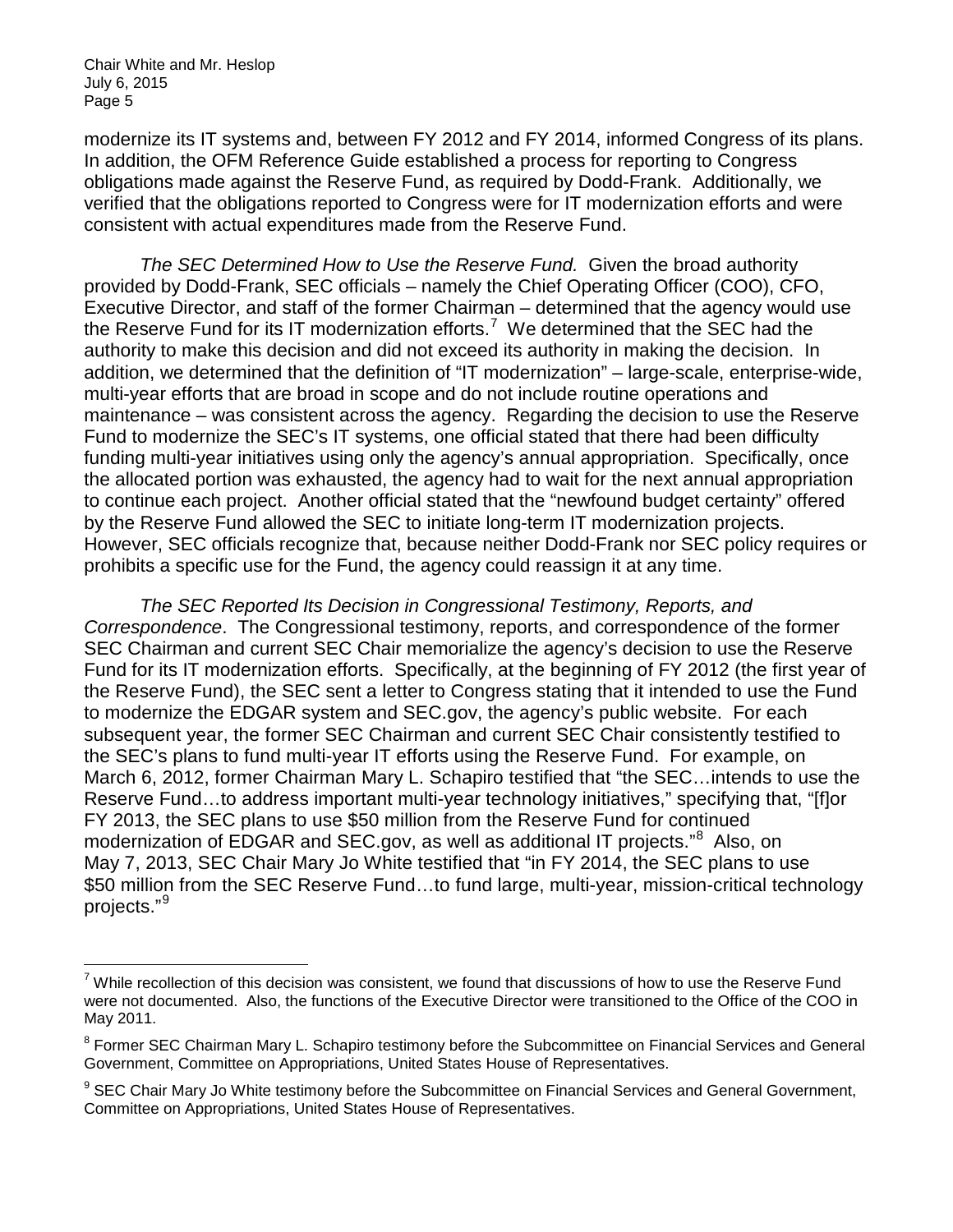modernize its IT systems and, between FY 2012 and FY 2014, informed Congress of its plans. In addition, the OFM Reference Guide established a process for reporting to Congress obligations made against the Reserve Fund, as required by Dodd-Frank. Additionally, we verified that the obligations reported to Congress were for IT modernization efforts and were consistent with actual expenditures made from the Reserve Fund.

*The SEC Determined How to Use the Reserve Fund.* Given the broad authority provided by Dodd-Frank, SEC officials – namely the Chief Operating Officer (COO), CFO, Executive Director, and staff of the former Chairman – determined that the agency would use the Reserve Fund for its IT modernization efforts.<sup>[7](#page-4-0)</sup> We determined that the SEC had the authority to make this decision and did not exceed its authority in making the decision. In addition, we determined that the definition of "IT modernization" – large-scale, enterprise-wide, multi-year efforts that are broad in scope and do not include routine operations and maintenance – was consistent across the agency. Regarding the decision to use the Reserve Fund to modernize the SEC's IT systems, one official stated that there had been difficulty funding multi-year initiatives using only the agency's annual appropriation. Specifically, once the allocated portion was exhausted, the agency had to wait for the next annual appropriation to continue each project. Another official stated that the "newfound budget certainty" offered by the Reserve Fund allowed the SEC to initiate long-term IT modernization projects. However, SEC officials recognize that, because neither Dodd-Frank nor SEC policy requires or prohibits a specific use for the Fund, the agency could reassign it at any time.

*The SEC Reported Its Decision in Congressional Testimony, Reports, and Correspondence*. The Congressional testimony, reports, and correspondence of the former SEC Chairman and current SEC Chair memorialize the agency's decision to use the Reserve Fund for its IT modernization efforts. Specifically, at the beginning of FY 2012 (the first year of the Reserve Fund), the SEC sent a letter to Congress stating that it intended to use the Fund to modernize the EDGAR system and SEC.gov, the agency's public website. For each subsequent year, the former SEC Chairman and current SEC Chair consistently testified to the SEC's plans to fund multi-year IT efforts using the Reserve Fund. For example, on March 6, 2012, former Chairman Mary L. Schapiro testified that "the SEC…intends to use the Reserve Fund…to address important multi-year technology initiatives," specifying that, "[f]or FY 2013, the SEC plans to use \$50 million from the Reserve Fund for continued modernization of EDGAR and SEC.gov, as well as additional IT projects."<sup>[8](#page-4-1)</sup> Also, on May 7, 2013, SEC Chair Mary Jo White testified that "in FY 2014, the SEC plans to use \$50 million from the SEC Reserve Fund...to fund large, multi-year, mission-critical technology projects."[9](#page-4-2)

<span id="page-4-0"></span> $7$  While recollection of this decision was consistent, we found that discussions of how to use the Reserve Fund were not documented. Also, the functions of the Executive Director were transitioned to the Office of the COO in May 2011.

<span id="page-4-1"></span><sup>&</sup>lt;sup>8</sup> Former SEC Chairman Mary L. Schapiro testimony before the Subcommittee on Financial Services and General Government, Committee on Appropriations, United States House of Representatives.

<span id="page-4-2"></span><sup>&</sup>lt;sup>9</sup> SEC Chair Mary Jo White testimony before the Subcommittee on Financial Services and General Government, Committee on Appropriations, United States House of Representatives.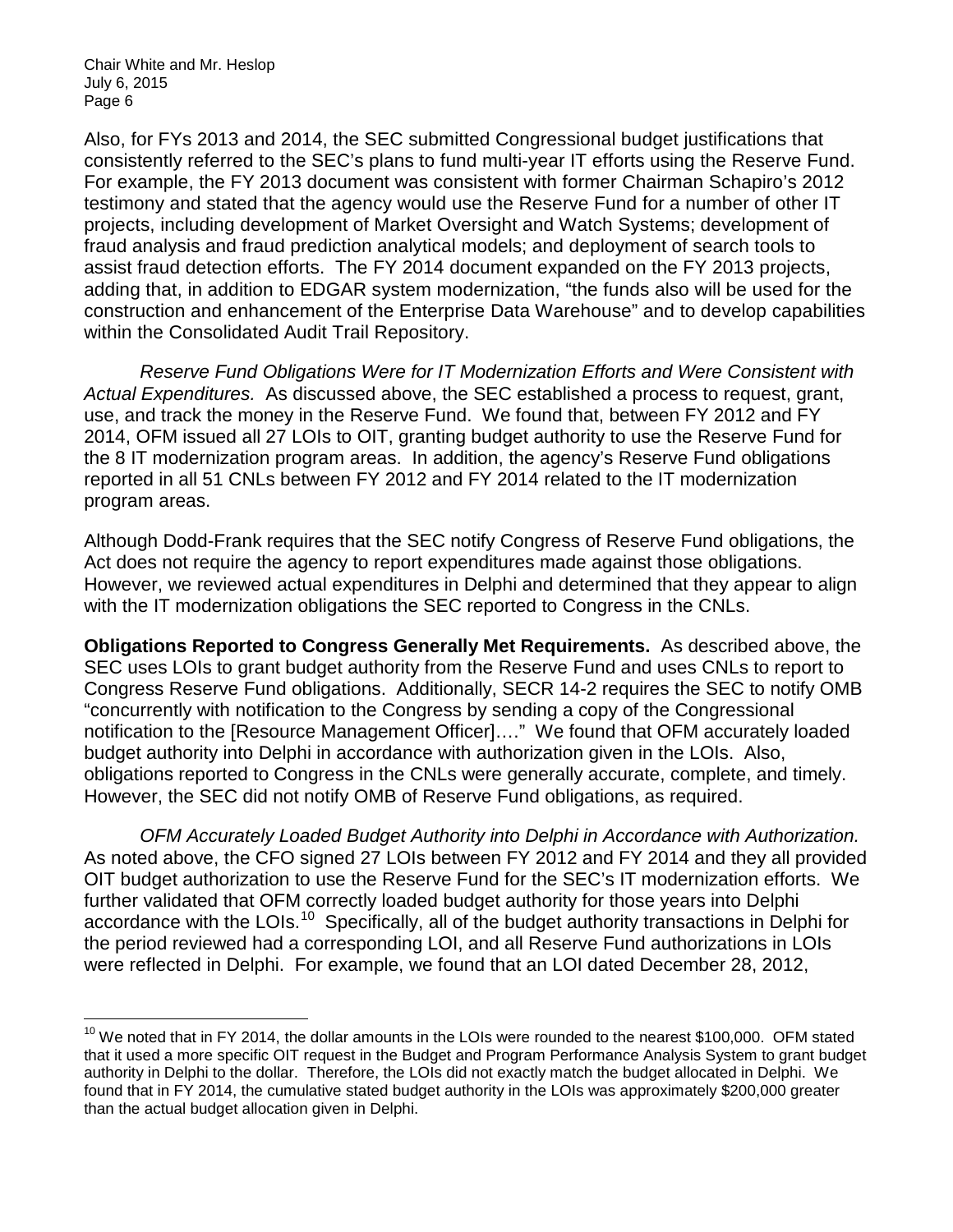Also, for FYs 2013 and 2014, the SEC submitted Congressional budget justifications that consistently referred to the SEC's plans to fund multi-year IT efforts using the Reserve Fund. For example, the FY 2013 document was consistent with former Chairman Schapiro's 2012 testimony and stated that the agency would use the Reserve Fund for a number of other IT projects, including development of Market Oversight and Watch Systems; development of fraud analysis and fraud prediction analytical models; and deployment of search tools to assist fraud detection efforts. The FY 2014 document expanded on the FY 2013 projects, adding that, in addition to EDGAR system modernization, "the funds also will be used for the construction and enhancement of the Enterprise Data Warehouse" and to develop capabilities within the Consolidated Audit Trail Repository.

*Reserve Fund Obligations Were for IT Modernization Efforts and Were Consistent with Actual Expenditures.* As discussed above, the SEC established a process to request, grant, use, and track the money in the Reserve Fund. We found that, between FY 2012 and FY 2014, OFM issued all 27 LOIs to OIT, granting budget authority to use the Reserve Fund for the 8 IT modernization program areas. In addition, the agency's Reserve Fund obligations reported in all 51 CNLs between FY 2012 and FY 2014 related to the IT modernization program areas.

Although Dodd-Frank requires that the SEC notify Congress of Reserve Fund obligations, the Act does not require the agency to report expenditures made against those obligations. However, we reviewed actual expenditures in Delphi and determined that they appear to align with the IT modernization obligations the SEC reported to Congress in the CNLs.

**Obligations Reported to Congress Generally Met Requirements.** As described above, the SEC uses LOIs to grant budget authority from the Reserve Fund and uses CNLs to report to Congress Reserve Fund obligations. Additionally, SECR 14-2 requires the SEC to notify OMB "concurrently with notification to the Congress by sending a copy of the Congressional notification to the [Resource Management Officer]…." We found that OFM accurately loaded budget authority into Delphi in accordance with authorization given in the LOIs. Also, obligations reported to Congress in the CNLs were generally accurate, complete, and timely. However, the SEC did not notify OMB of Reserve Fund obligations, as required.

*OFM Accurately Loaded Budget Authority into Delphi in Accordance with Authorization.*  As noted above, the CFO signed 27 LOIs between FY 2012 and FY 2014 and they all provided OIT budget authorization to use the Reserve Fund for the SEC's IT modernization efforts. We further validated that OFM correctly loaded budget authority for those years into Delphi accordance with the LOIs.<sup>[10](#page-5-0)</sup> Specifically, all of the budget authority transactions in Delphi for the period reviewed had a corresponding LOI, and all Reserve Fund authorizations in LOIs were reflected in Delphi. For example, we found that an LOI dated December 28, 2012,

<span id="page-5-0"></span><sup>&</sup>lt;sup>10</sup> We noted that in FY 2014, the dollar amounts in the LOIs were rounded to the nearest \$100,000. OFM stated that it used a more specific OIT request in the Budget and Program Performance Analysis System to grant budget authority in Delphi to the dollar. Therefore, the LOIs did not exactly match the budget allocated in Delphi. We found that in FY 2014, the cumulative stated budget authority in the LOIs was approximately \$200,000 greater than the actual budget allocation given in Delphi.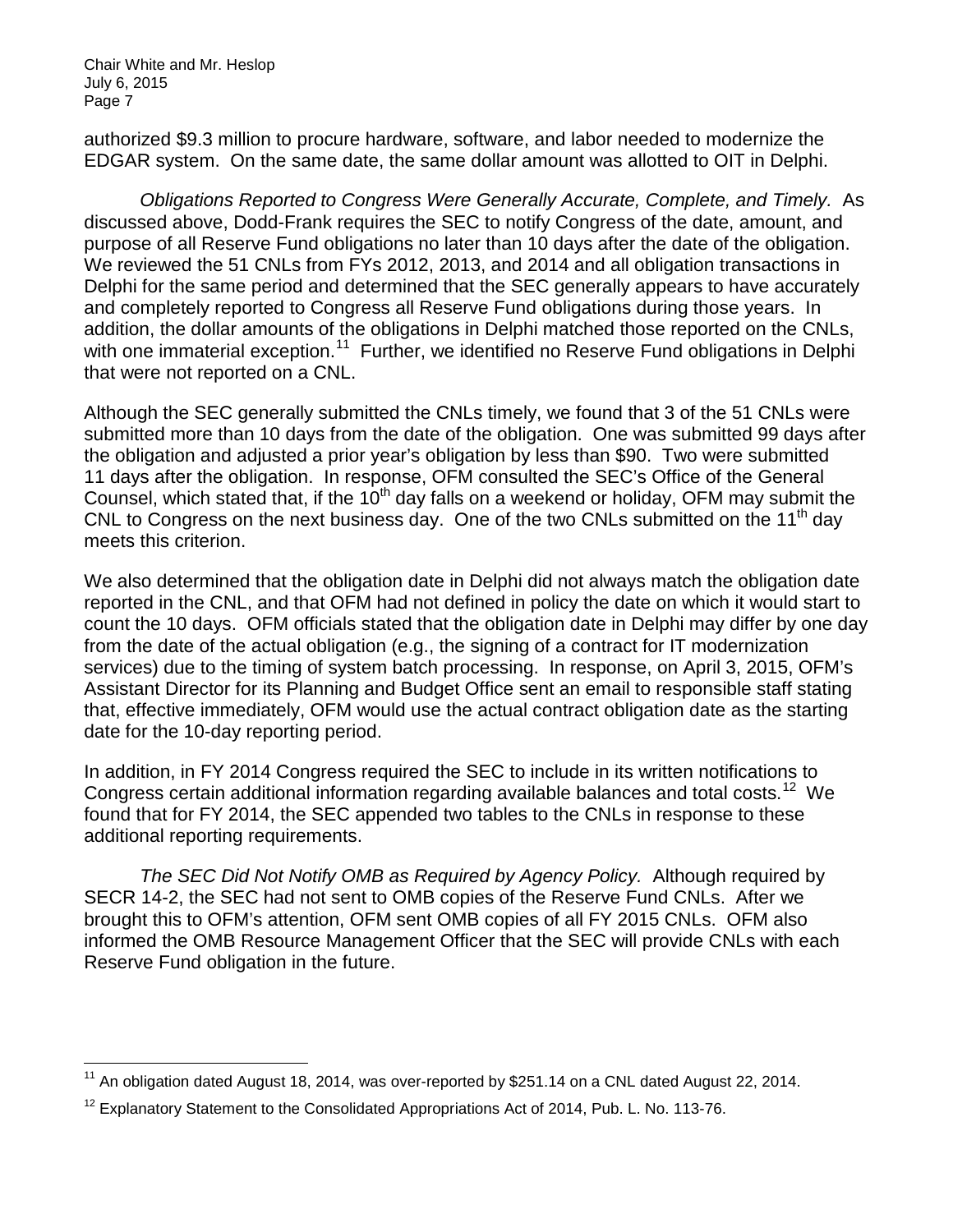authorized \$9.3 million to procure hardware, software, and labor needed to modernize the EDGAR system. On the same date, the same dollar amount was allotted to OIT in Delphi.

*Obligations Reported to Congress Were Generally Accurate, Complete, and Timely.* As discussed above, Dodd-Frank requires the SEC to notify Congress of the date, amount, and purpose of all Reserve Fund obligations no later than 10 days after the date of the obligation. We reviewed the 51 CNLs from FYs 2012, 2013, and 2014 and all obligation transactions in Delphi for the same period and determined that the SEC generally appears to have accurately and completely reported to Congress all Reserve Fund obligations during those years. In addition, the dollar amounts of the obligations in Delphi matched those reported on the CNLs, with one immaterial exception.<sup>11</sup> Further, we identified no Reserve Fund obligations in Delphi that were not reported on a CNL.

Although the SEC generally submitted the CNLs timely, we found that 3 of the 51 CNLs were submitted more than 10 days from the date of the obligation. One was submitted 99 days after the obligation and adjusted a prior year's obligation by less than \$90. Two were submitted 11 days after the obligation. In response, OFM consulted the SEC's Office of the General Counsel, which stated that, if the  $10<sup>th</sup>$  day falls on a weekend or holiday, OFM may submit the CNL to Congress on the next business day. One of the two CNLs submitted on the 11<sup>th</sup> day meets this criterion.

We also determined that the obligation date in Delphi did not always match the obligation date reported in the CNL, and that OFM had not defined in policy the date on which it would start to count the 10 days. OFM officials stated that the obligation date in Delphi may differ by one day from the date of the actual obligation (e.g., the signing of a contract for IT modernization services) due to the timing of system batch processing. In response, on April 3, 2015, OFM's Assistant Director for its Planning and Budget Office sent an email to responsible staff stating that, effective immediately, OFM would use the actual contract obligation date as the starting date for the 10-day reporting period.

In addition, in FY 2014 Congress required the SEC to include in its written notifications to Congress certain additional information regarding available balances and total costs.<sup>12</sup> We found that for FY 2014, the SEC appended two tables to the CNLs in response to these additional reporting requirements.

*The SEC Did Not Notify OMB as Required by Agency Policy.* Although required by SECR 14-2, the SEC had not sent to OMB copies of the Reserve Fund CNLs. After we brought this to OFM's attention, OFM sent OMB copies of all FY 2015 CNLs. OFM also informed the OMB Resource Management Officer that the SEC will provide CNLs with each Reserve Fund obligation in the future.

<span id="page-6-0"></span> $11$  An obligation dated August 18, 2014, was over-reported by \$251.14 on a CNL dated August 22, 2014.

<span id="page-6-1"></span> $12$  Explanatory Statement to the Consolidated Appropriations Act of 2014, Pub. L. No. 113-76.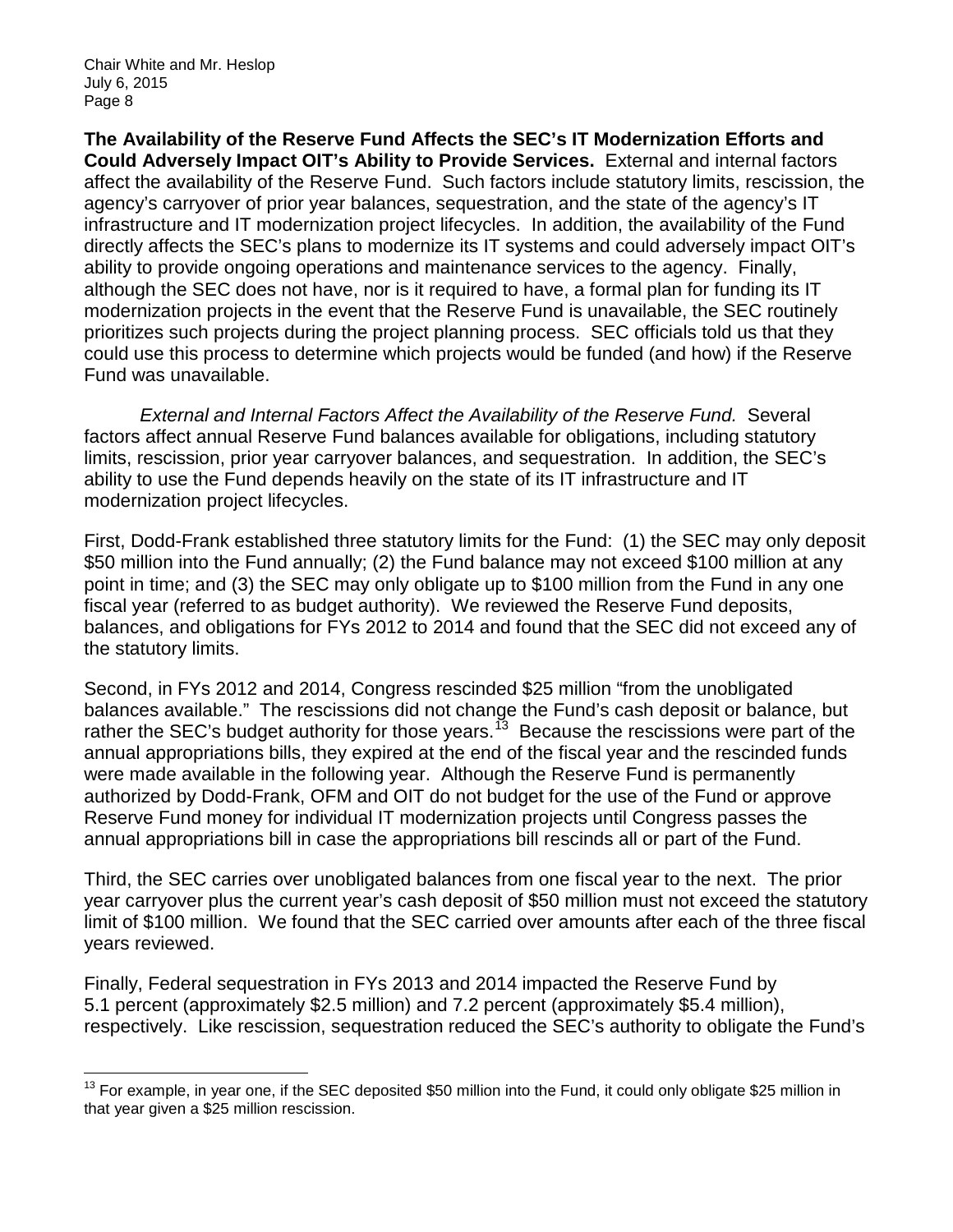**The Availability of the Reserve Fund Affects the SEC's IT Modernization Efforts and Could Adversely Impact OIT's Ability to Provide Services.** External and internal factors affect the availability of the Reserve Fund. Such factors include statutory limits, rescission, the agency's carryover of prior year balances, sequestration, and the state of the agency's IT infrastructure and IT modernization project lifecycles. In addition, the availability of the Fund directly affects the SEC's plans to modernize its IT systems and could adversely impact OIT's ability to provide ongoing operations and maintenance services to the agency. Finally, although the SEC does not have, nor is it required to have, a formal plan for funding its IT modernization projects in the event that the Reserve Fund is unavailable, the SEC routinely prioritizes such projects during the project planning process. SEC officials told us that they could use this process to determine which projects would be funded (and how) if the Reserve Fund was unavailable.

*External and Internal Factors Affect the Availability of the Reserve Fund.* Several factors affect annual Reserve Fund balances available for obligations, including statutory limits, rescission, prior year carryover balances, and sequestration. In addition, the SEC's ability to use the Fund depends heavily on the state of its IT infrastructure and IT modernization project lifecycles.

First, Dodd-Frank established three statutory limits for the Fund: (1) the SEC may only deposit \$50 million into the Fund annually; (2) the Fund balance may not exceed \$100 million at any point in time; and (3) the SEC may only obligate up to \$100 million from the Fund in any one fiscal year (referred to as budget authority). We reviewed the Reserve Fund deposits, balances, and obligations for FYs 2012 to 2014 and found that the SEC did not exceed any of the statutory limits.

Second, in FYs 2012 and 2014, Congress rescinded \$25 million "from the unobligated balances available." The rescissions did not change the Fund's cash deposit or balance, but rather the SEC's budget authority for those years.<sup>13</sup> Because the rescissions were part of the annual appropriations bills, they expired at the end of the fiscal year and the rescinded funds were made available in the following year. Although the Reserve Fund is permanently authorized by Dodd-Frank, OFM and OIT do not budget for the use of the Fund or approve Reserve Fund money for individual IT modernization projects until Congress passes the annual appropriations bill in case the appropriations bill rescinds all or part of the Fund.

Third, the SEC carries over unobligated balances from one fiscal year to the next. The prior year carryover plus the current year's cash deposit of \$50 million must not exceed the statutory limit of \$100 million. We found that the SEC carried over amounts after each of the three fiscal years reviewed.

Finally, Federal sequestration in FYs 2013 and 2014 impacted the Reserve Fund by 5.1 percent (approximately \$2.5 million) and 7.2 percent (approximately \$5.4 million), respectively. Like rescission, sequestration reduced the SEC's authority to obligate the Fund's

<span id="page-7-0"></span><sup>&</sup>lt;sup>13</sup> For example, in year one, if the SEC deposited \$50 million into the Fund, it could only obligate \$25 million in that year given a \$25 million rescission.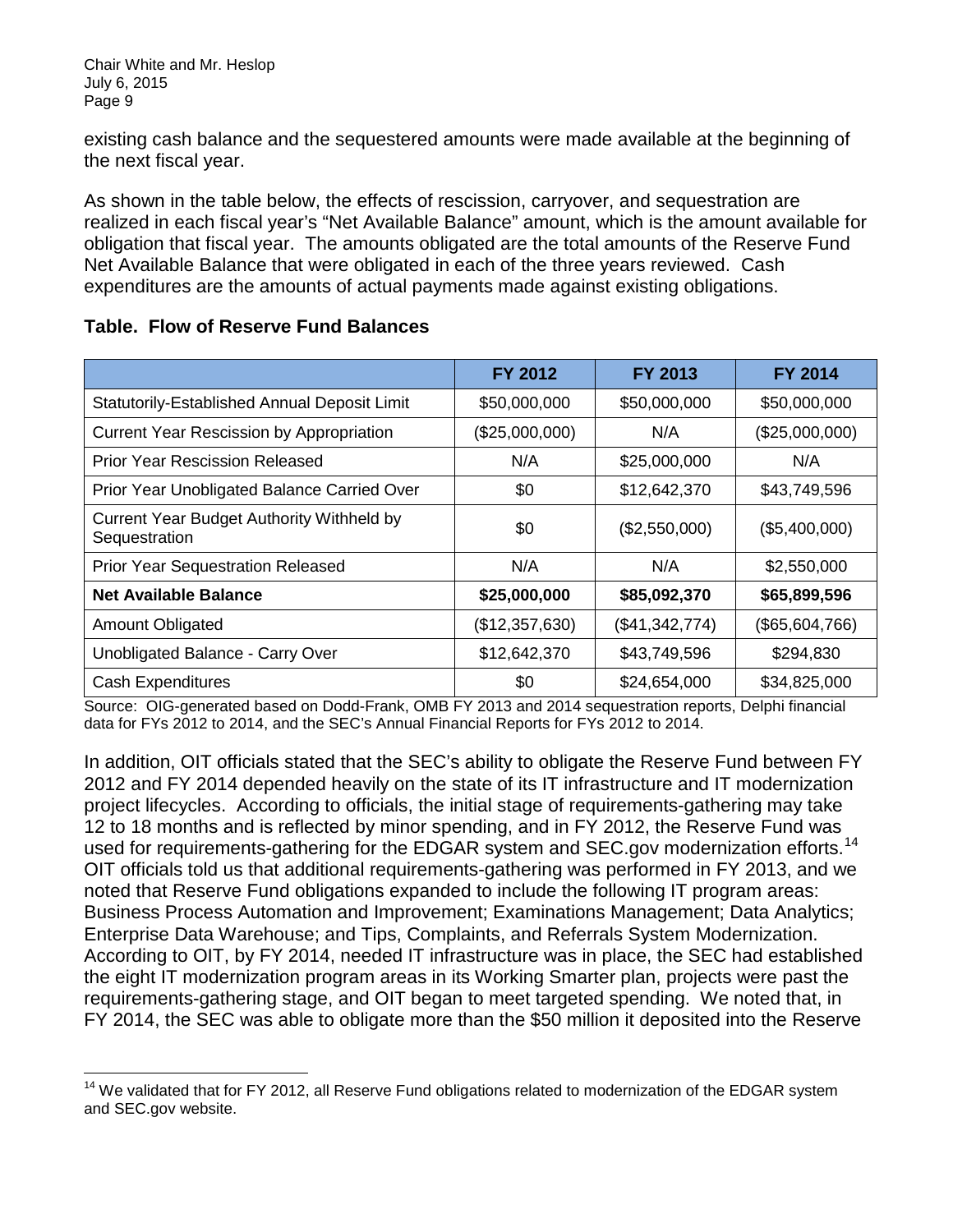existing cash balance and the sequestered amounts were made available at the beginning of the next fiscal year.

As shown in the table below, the effects of rescission, carryover, and sequestration are realized in each fiscal year's "Net Available Balance" amount, which is the amount available for obligation that fiscal year. The amounts obligated are the total amounts of the Reserve Fund Net Available Balance that were obligated in each of the three years reviewed. Cash expenditures are the amounts of actual payments made against existing obligations.

|                                                            | FY 2012        | FY 2013        | <b>FY 2014</b> |
|------------------------------------------------------------|----------------|----------------|----------------|
| Statutorily-Established Annual Deposit Limit               | \$50,000,000   | \$50,000,000   | \$50,000,000   |
| <b>Current Year Rescission by Appropriation</b>            | (\$25,000,000) | N/A            | (\$25,000,000) |
| <b>Prior Year Rescission Released</b>                      | N/A            | \$25,000,000   | N/A            |
| Prior Year Unobligated Balance Carried Over                | \$0            | \$12,642,370   | \$43,749,596   |
| Current Year Budget Authority Withheld by<br>Sequestration | \$0            | (\$2,550,000)  | (\$5,400,000)  |
| <b>Prior Year Sequestration Released</b>                   | N/A            | N/A            | \$2,550,000    |
| <b>Net Available Balance</b>                               | \$25,000,000   | \$85,092,370   | \$65,899,596   |
| Amount Obligated                                           | (\$12,357,630) | (\$41,342,774) | (\$65,604,766) |
| Unobligated Balance - Carry Over                           | \$12,642,370   | \$43,749,596   | \$294,830      |
| <b>Cash Expenditures</b>                                   | \$0            | \$24,654,000   | \$34,825,000   |

### **Table. Flow of Reserve Fund Balances**

Source: OIG-generated based on Dodd-Frank, OMB FY 2013 and 2014 sequestration reports, Delphi financial data for FYs 2012 to 2014, and the SEC's Annual Financial Reports for FYs 2012 to 2014.

In addition, OIT officials stated that the SEC's ability to obligate the Reserve Fund between FY 2012 and FY 2014 depended heavily on the state of its IT infrastructure and IT modernization project lifecycles. According to officials, the initial stage of requirements-gathering may take 12 to 18 months and is reflected by minor spending, and in FY 2012, the Reserve Fund was used for requirements-gathering for the EDGAR system and SEC.gov modernization efforts.<sup>14</sup> OIT officials told us that additional requirements-gathering was performed in FY 2013, and we noted that Reserve Fund obligations expanded to include the following IT program areas: Business Process Automation and Improvement; Examinations Management; Data Analytics; Enterprise Data Warehouse; and Tips, Complaints, and Referrals System Modernization. According to OIT, by FY 2014, needed IT infrastructure was in place, the SEC had established the eight IT modernization program areas in its Working Smarter plan, projects were past the requirements-gathering stage, and OIT began to meet targeted spending. We noted that, in FY 2014, the SEC was able to obligate more than the \$50 million it deposited into the Reserve

<span id="page-8-0"></span><sup>&</sup>lt;sup>14</sup> We validated that for FY 2012, all Reserve Fund obligations related to modernization of the EDGAR system and SEC.gov website.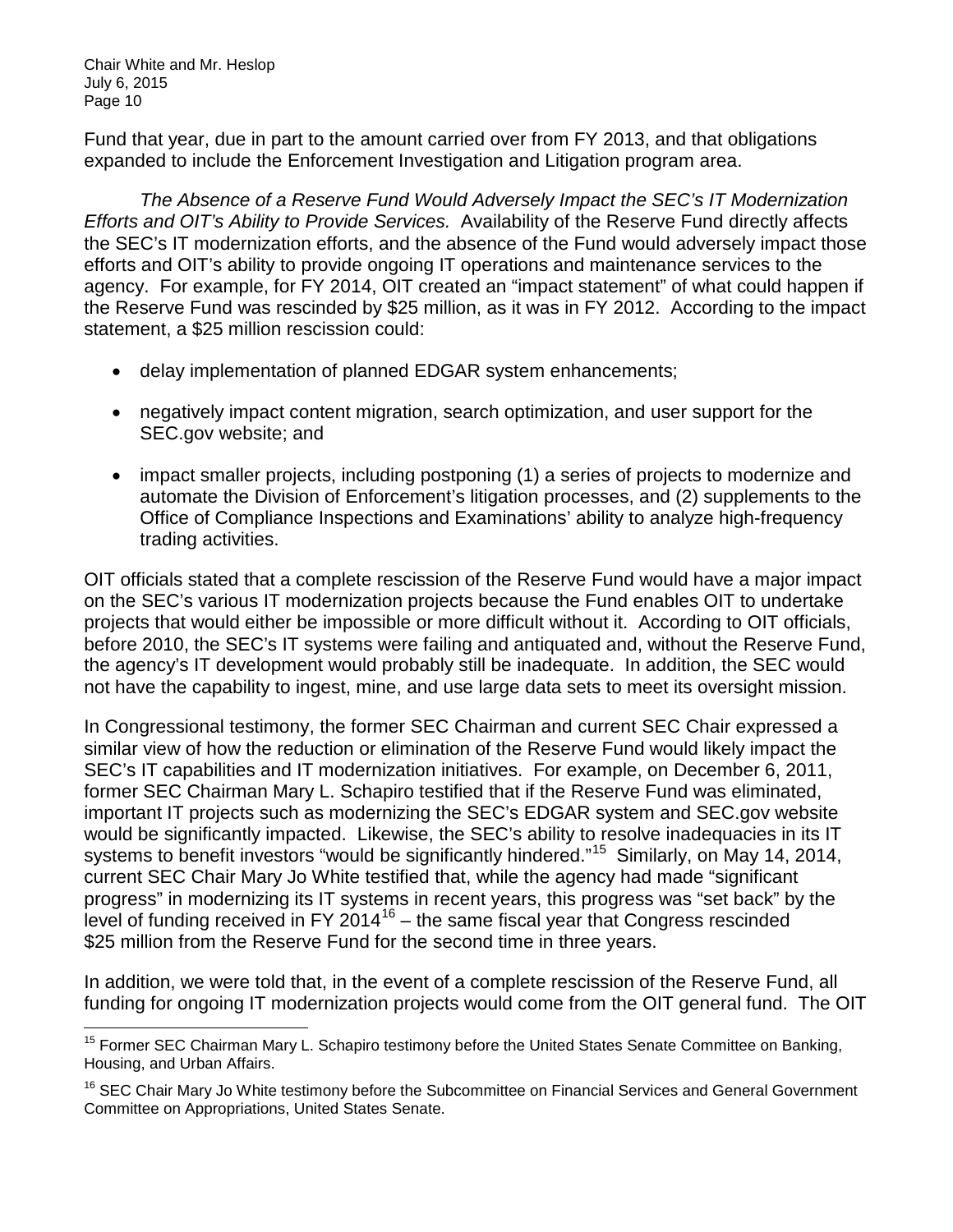Fund that year, due in part to the amount carried over from FY 2013, and that obligations expanded to include the Enforcement Investigation and Litigation program area.

*The Absence of a Reserve Fund Would Adversely Impact the SEC's IT Modernization Efforts and OIT's Ability to Provide Services.* Availability of the Reserve Fund directly affects the SEC's IT modernization efforts, and the absence of the Fund would adversely impact those efforts and OIT's ability to provide ongoing IT operations and maintenance services to the agency. For example, for FY 2014, OIT created an "impact statement" of what could happen if the Reserve Fund was rescinded by \$25 million, as it was in FY 2012. According to the impact statement, a \$25 million rescission could:

- delay implementation of planned EDGAR system enhancements;
- negatively impact content migration, search optimization, and user support for the SEC.gov website; and
- impact smaller projects, including postponing (1) a series of projects to modernize and automate the Division of Enforcement's litigation processes, and (2) supplements to the Office of Compliance Inspections and Examinations' ability to analyze high-frequency trading activities.

OIT officials stated that a complete rescission of the Reserve Fund would have a major impact on the SEC's various IT modernization projects because the Fund enables OIT to undertake projects that would either be impossible or more difficult without it. According to OIT officials, before 2010, the SEC's IT systems were failing and antiquated and, without the Reserve Fund, the agency's IT development would probably still be inadequate. In addition, the SEC would not have the capability to ingest, mine, and use large data sets to meet its oversight mission.

In Congressional testimony, the former SEC Chairman and current SEC Chair expressed a similar view of how the reduction or elimination of the Reserve Fund would likely impact the SEC's IT capabilities and IT modernization initiatives. For example, on December 6, 2011, former SEC Chairman Mary L. Schapiro testified that if the Reserve Fund was eliminated, important IT projects such as modernizing the SEC's EDGAR system and SEC.gov website would be significantly impacted. Likewise, the SEC's ability to resolve inadequacies in its IT systems to benefit investors "would be significantly hindered."<sup>15</sup> Similarly, on May 14, 2014, current SEC Chair Mary Jo White testified that, while the agency had made "significant progress" in modernizing its IT systems in recent years, this progress was "set back" by the level of funding received in FY 2014<sup>[16](#page-9-1)</sup> – the same fiscal year that Congress rescinded \$25 million from the Reserve Fund for the second time in three years.

In addition, we were told that, in the event of a complete rescission of the Reserve Fund, all funding for ongoing IT modernization projects would come from the OIT general fund. The OIT

<span id="page-9-0"></span><sup>&</sup>lt;sup>15</sup> Former SEC Chairman Mary L. Schapiro testimony before the United States Senate Committee on Banking, Housing, and Urban Affairs.

<span id="page-9-1"></span><sup>&</sup>lt;sup>16</sup> SEC Chair Mary Jo White testimony before the Subcommittee on Financial Services and General Government Committee on Appropriations, United States Senate.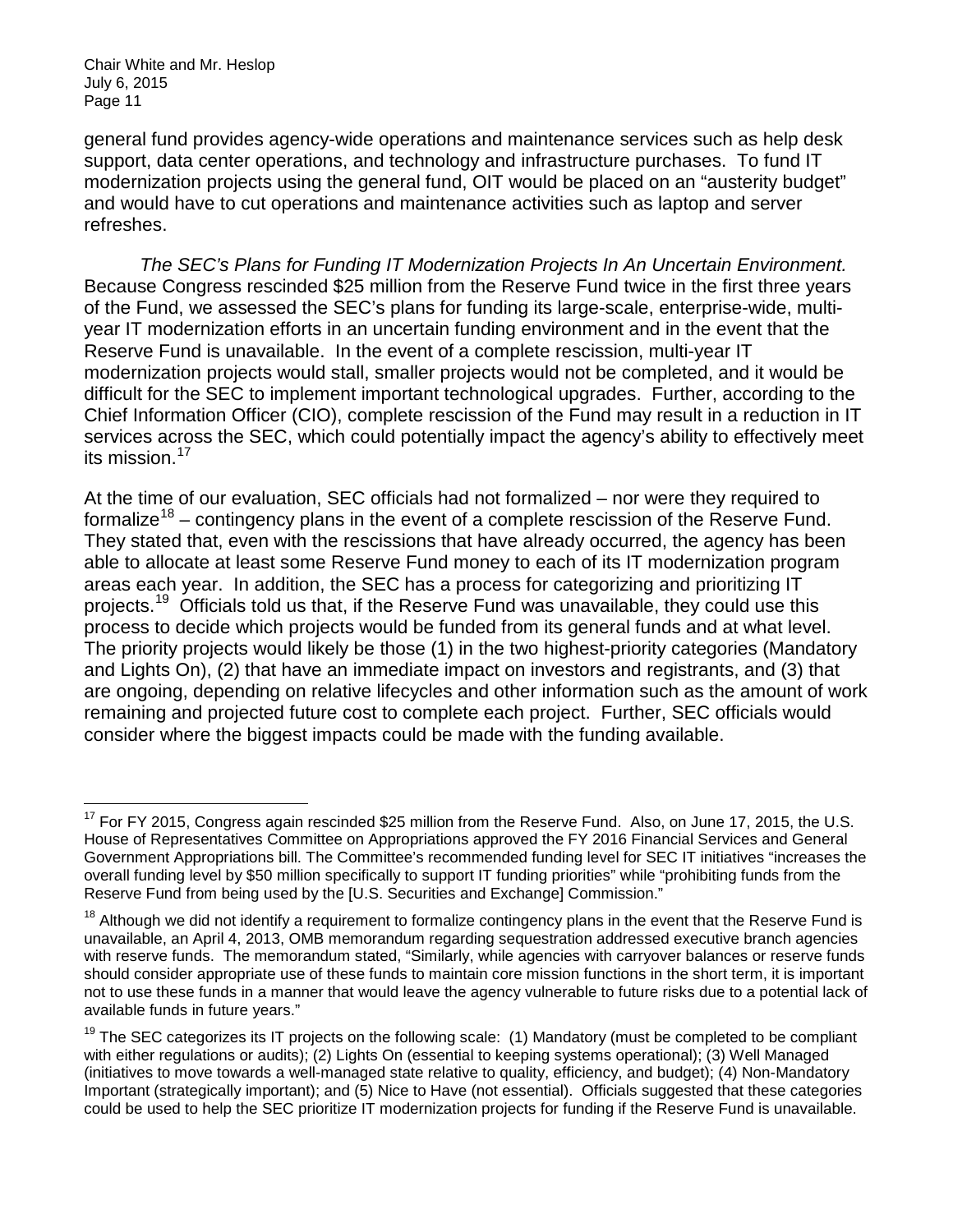general fund provides agency-wide operations and maintenance services such as help desk support, data center operations, and technology and infrastructure purchases. To fund IT modernization projects using the general fund, OIT would be placed on an "austerity budget" and would have to cut operations and maintenance activities such as laptop and server refreshes.

*The SEC's Plans for Funding IT Modernization Projects In An Uncertain Environment.*  Because Congress rescinded \$25 million from the Reserve Fund twice in the first three years of the Fund, we assessed the SEC's plans for funding its large-scale, enterprise-wide, multiyear IT modernization efforts in an uncertain funding environment and in the event that the Reserve Fund is unavailable. In the event of a complete rescission, multi-year IT modernization projects would stall, smaller projects would not be completed, and it would be difficult for the SEC to implement important technological upgrades. Further, according to the Chief Information Officer (CIO), complete rescission of the Fund may result in a reduction in IT services across the SEC, which could potentially impact the agency's ability to effectively meet its mission.<sup>[17](#page-10-0)</sup>

At the time of our evaluation, SEC officials had not formalized – nor were they required to formalize<sup>[18](#page-10-1)</sup> – contingency plans in the event of a complete rescission of the Reserve Fund. They stated that, even with the rescissions that have already occurred, the agency has been able to allocate at least some Reserve Fund money to each of its IT modernization program areas each year. In addition, the SEC has a process for categorizing and prioritizing IT projects. [19](#page-10-2) Officials told us that, if the Reserve Fund was unavailable, they could use this process to decide which projects would be funded from its general funds and at what level. The priority projects would likely be those (1) in the two highest-priority categories (Mandatory and Lights On), (2) that have an immediate impact on investors and registrants, and (3) that are ongoing, depending on relative lifecycles and other information such as the amount of work remaining and projected future cost to complete each project. Further, SEC officials would consider where the biggest impacts could be made with the funding available.

<span id="page-10-0"></span><sup>&</sup>lt;sup>17</sup> For FY 2015, Congress again rescinded \$25 million from the Reserve Fund. Also, on June 17, 2015, the U.S. House of Representatives Committee on Appropriations approved the FY 2016 Financial Services and General Government Appropriations bill. The Committee's recommended funding level for SEC IT initiatives "increases the overall funding level by \$50 million specifically to support IT funding priorities" while "prohibiting funds from the Reserve Fund from being used by the [U.S. Securities and Exchange] Commission."

<span id="page-10-1"></span><sup>&</sup>lt;sup>18</sup> Although we did not identify a requirement to formalize contingency plans in the event that the Reserve Fund is unavailable, an April 4, 2013, OMB memorandum regarding sequestration addressed executive branch agencies with reserve funds. The memorandum stated, "Similarly, while agencies with carryover balances or reserve funds should consider appropriate use of these funds to maintain core mission functions in the short term, it is important not to use these funds in a manner that would leave the agency vulnerable to future risks due to a potential lack of available funds in future years."

<span id="page-10-2"></span> $19$  The SEC categorizes its IT projects on the following scale: (1) Mandatory (must be completed to be compliant with either regulations or audits); (2) Lights On (essential to keeping systems operational); (3) Well Managed (initiatives to move towards a well-managed state relative to quality, efficiency, and budget); (4) Non-Mandatory Important (strategically important); and (5) Nice to Have (not essential). Officials suggested that these categories could be used to help the SEC prioritize IT modernization projects for funding if the Reserve Fund is unavailable.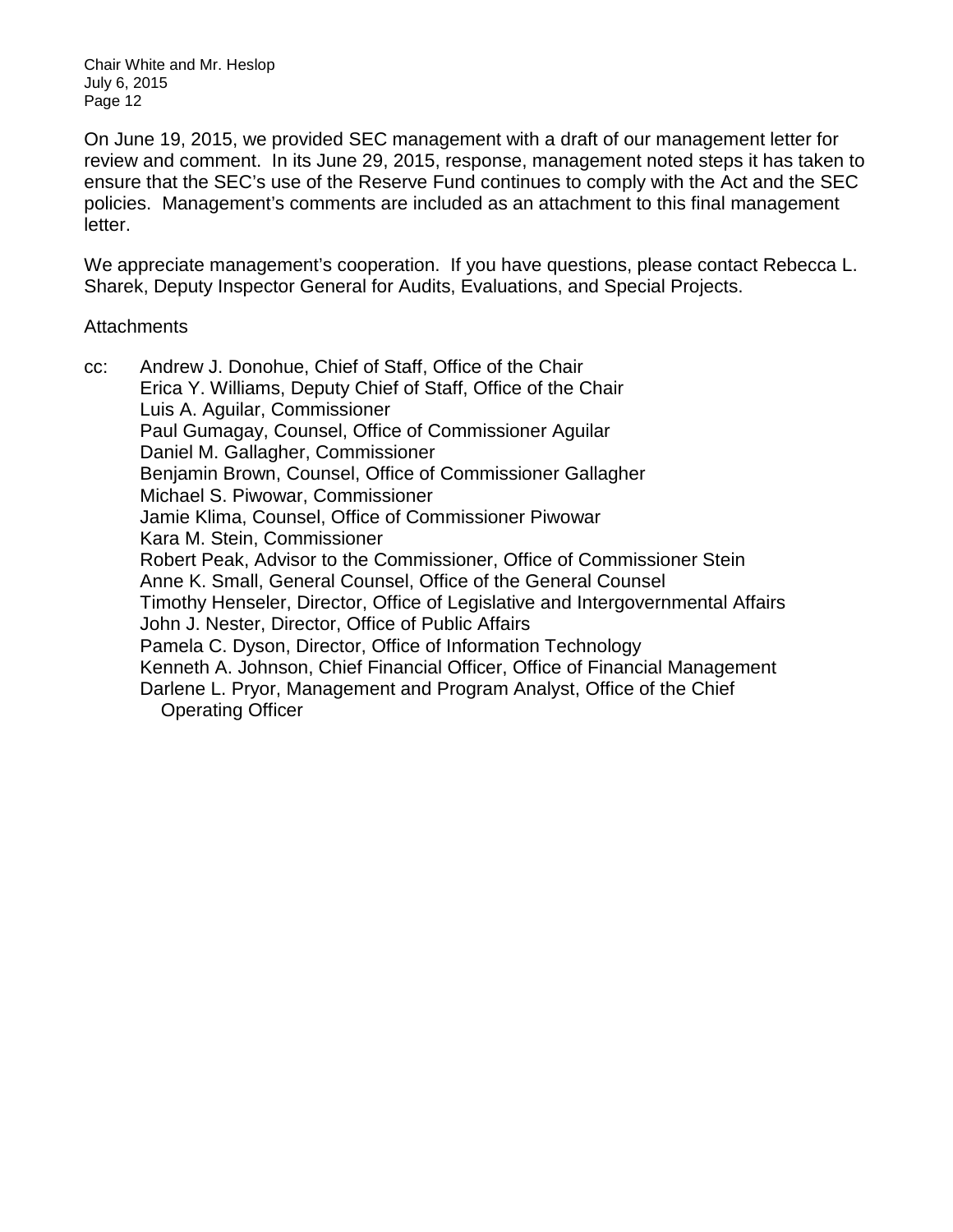On June 19, 2015, we provided SEC management with a draft of our management letter for review and comment. In its June 29, 2015, response, management noted steps it has taken to ensure that the SEC's use of the Reserve Fund continues to comply with the Act and the SEC policies. Management's comments are included as an attachment to this final management letter.

We appreciate management's cooperation. If you have questions, please contact Rebecca L. Sharek, Deputy Inspector General for Audits, Evaluations, and Special Projects.

#### **Attachments**

cc: Andrew J. Donohue, Chief of Staff, Office of the Chair Erica Y. Williams, Deputy Chief of Staff, Office of the Chair Luis A. Aguilar, Commissioner Paul Gumagay, Counsel, Office of Commissioner Aguilar Daniel M. Gallagher, Commissioner Benjamin Brown, Counsel, Office of Commissioner Gallagher Michael S. Piwowar, Commissioner Jamie Klima, Counsel, Office of Commissioner Piwowar Kara M. Stein, Commissioner Robert Peak, Advisor to the Commissioner, Office of Commissioner Stein Anne K. Small, General Counsel, Office of the General Counsel Timothy Henseler, Director, Office of Legislative and Intergovernmental Affairs John J. Nester, Director, Office of Public Affairs Pamela C. Dyson, Director, Office of Information Technology Kenneth A. Johnson, Chief Financial Officer, Office of Financial Management Darlene L. Pryor, Management and Program Analyst, Office of the Chief Operating Officer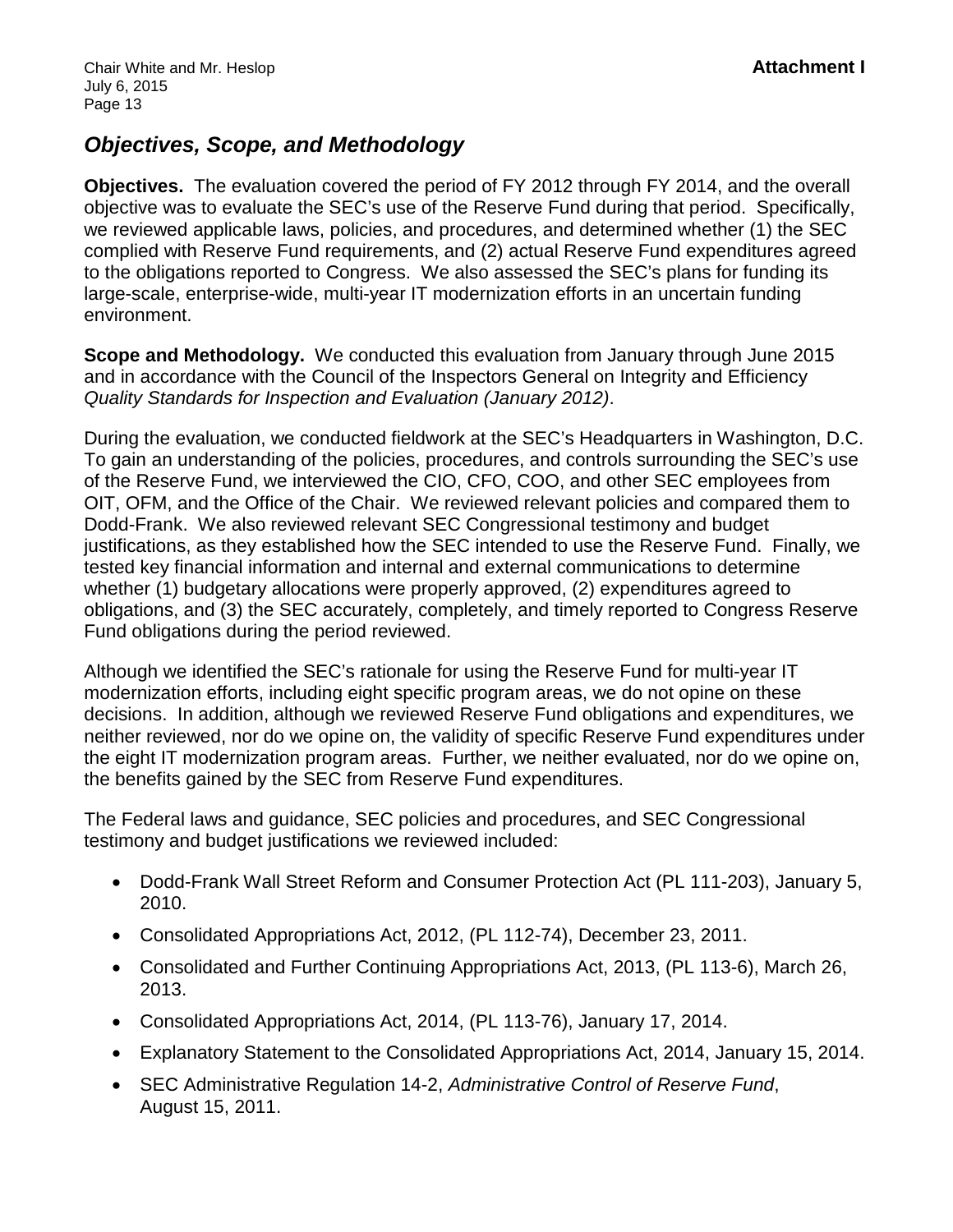# *Objectives, Scope, and Methodology*

**Objectives.** The evaluation covered the period of FY 2012 through FY 2014, and the overall objective was to evaluate the SEC's use of the Reserve Fund during that period. Specifically, we reviewed applicable laws, policies, and procedures, and determined whether (1) the SEC complied with Reserve Fund requirements, and (2) actual Reserve Fund expenditures agreed to the obligations reported to Congress. We also assessed the SEC's plans for funding its large-scale, enterprise-wide, multi-year IT modernization efforts in an uncertain funding environment.

**Scope and Methodology.** We conducted this evaluation from January through June 2015 and in accordance with the Council of the Inspectors General on Integrity and Efficiency *Quality Standards for Inspection and Evaluation (January 2012)*.

During the evaluation, we conducted fieldwork at the SEC's Headquarters in Washington, D.C. To gain an understanding of the policies, procedures, and controls surrounding the SEC's use of the Reserve Fund, we interviewed the CIO, CFO, COO, and other SEC employees from OIT, OFM, and the Office of the Chair. We reviewed relevant policies and compared them to Dodd-Frank. We also reviewed relevant SEC Congressional testimony and budget justifications, as they established how the SEC intended to use the Reserve Fund. Finally, we tested key financial information and internal and external communications to determine whether (1) budgetary allocations were properly approved, (2) expenditures agreed to obligations, and (3) the SEC accurately, completely, and timely reported to Congress Reserve Fund obligations during the period reviewed.

Although we identified the SEC's rationale for using the Reserve Fund for multi-year IT modernization efforts, including eight specific program areas, we do not opine on these decisions. In addition, although we reviewed Reserve Fund obligations and expenditures, we neither reviewed, nor do we opine on, the validity of specific Reserve Fund expenditures under the eight IT modernization program areas. Further, we neither evaluated, nor do we opine on, the benefits gained by the SEC from Reserve Fund expenditures.

The Federal laws and guidance, SEC policies and procedures, and SEC Congressional testimony and budget justifications we reviewed included:

- Dodd-Frank Wall Street Reform and Consumer Protection Act (PL 111-203), January 5, 2010.
- Consolidated Appropriations Act, 2012, (PL 112-74), December 23, 2011.
- Consolidated and Further Continuing Appropriations Act, 2013, (PL 113-6), March 26, 2013.
- Consolidated Appropriations Act, 2014, (PL 113-76), January 17, 2014.
- Explanatory Statement to the Consolidated Appropriations Act, 2014, January 15, 2014.
- SEC Administrative Regulation 14-2, *Administrative Control of Reserve Fund*, August 15, 2011.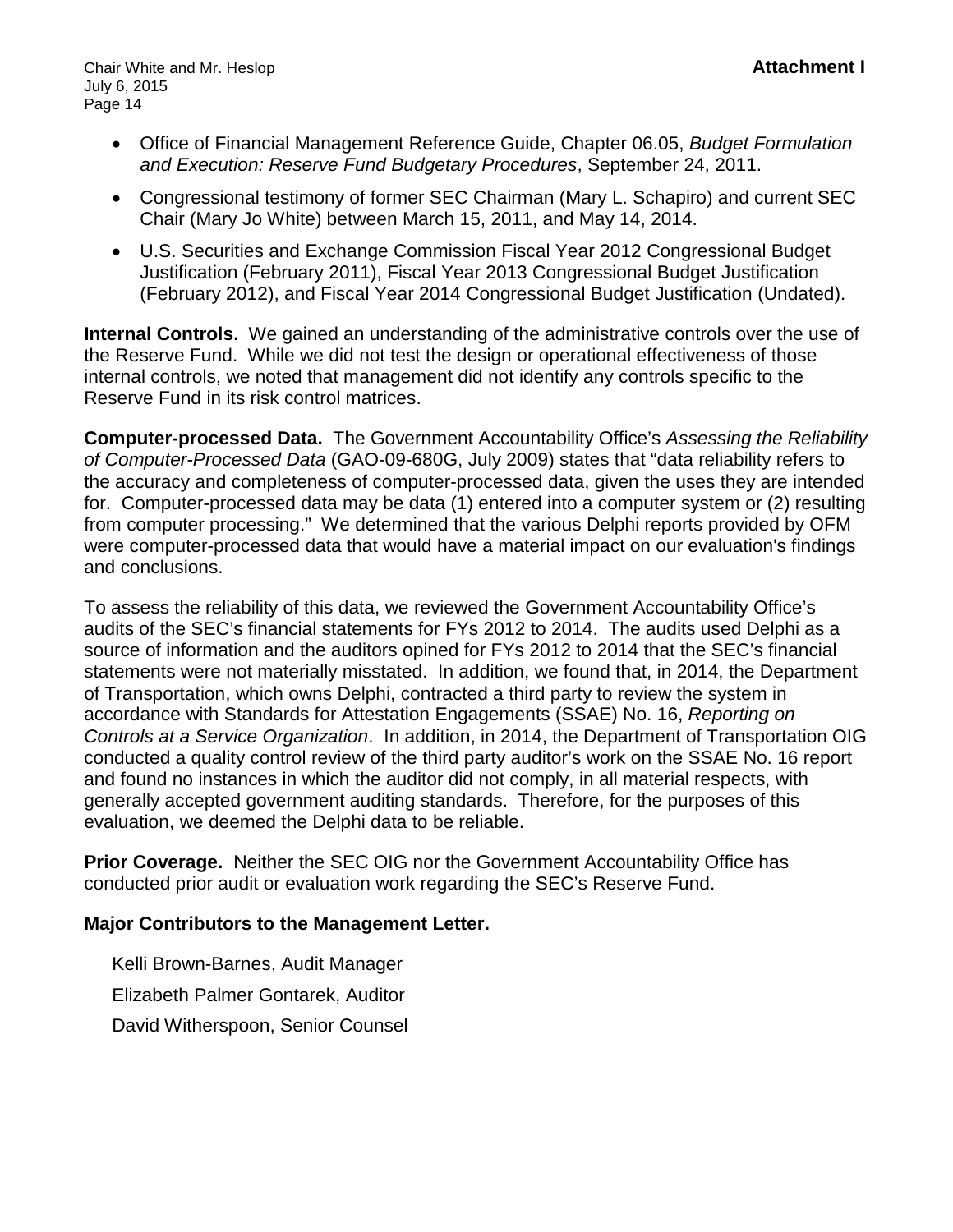- Office of Financial Management Reference Guide, Chapter 06.05, *Budget Formulation and Execution: Reserve Fund Budgetary Procedures*, September 24, 2011.
- Congressional testimony of former SEC Chairman (Mary L. Schapiro) and current SEC Chair (Mary Jo White) between March 15, 2011, and May 14, 2014.
- U.S. Securities and Exchange Commission Fiscal Year 2012 Congressional Budget Justification (February 2011), Fiscal Year 2013 Congressional Budget Justification (February 2012), and Fiscal Year 2014 Congressional Budget Justification (Undated).

**Internal Controls.** We gained an understanding of the administrative controls over the use of the Reserve Fund. While we did not test the design or operational effectiveness of those internal controls, we noted that management did not identify any controls specific to the Reserve Fund in its risk control matrices.

**Computer-processed Data.** The Government Accountability Office's *Assessing the Reliability of Computer-Processed Data* (GAO-09-680G, July 2009) states that "data reliability refers to the accuracy and completeness of computer-processed data, given the uses they are intended for. Computer-processed data may be data (1) entered into a computer system or (2) resulting from computer processing." We determined that the various Delphi reports provided by OFM were computer-processed data that would have a material impact on our evaluation's findings and conclusions.

To assess the reliability of this data, we reviewed the Government Accountability Office's audits of the SEC's financial statements for FYs 2012 to 2014. The audits used Delphi as a source of information and the auditors opined for FYs 2012 to 2014 that the SEC's financial statements were not materially misstated. In addition, we found that, in 2014, the Department of Transportation, which owns Delphi, contracted a third party to review the system in accordance with Standards for Attestation Engagements (SSAE) No. 16, *Reporting on Controls at a Service Organization*. In addition, in 2014, the Department of Transportation OIG conducted a quality control review of the third party auditor's work on the SSAE No. 16 report and found no instances in which the auditor did not comply, in all material respects, with generally accepted government auditing standards. Therefore, for the purposes of this evaluation, we deemed the Delphi data to be reliable.

**Prior Coverage.** Neither the SEC OIG nor the Government Accountability Office has conducted prior audit or evaluation work regarding the SEC's Reserve Fund.

### **Major Contributors to the Management Letter.**

Kelli Brown-Barnes, Audit Manager Elizabeth Palmer Gontarek, Auditor David Witherspoon, Senior Counsel